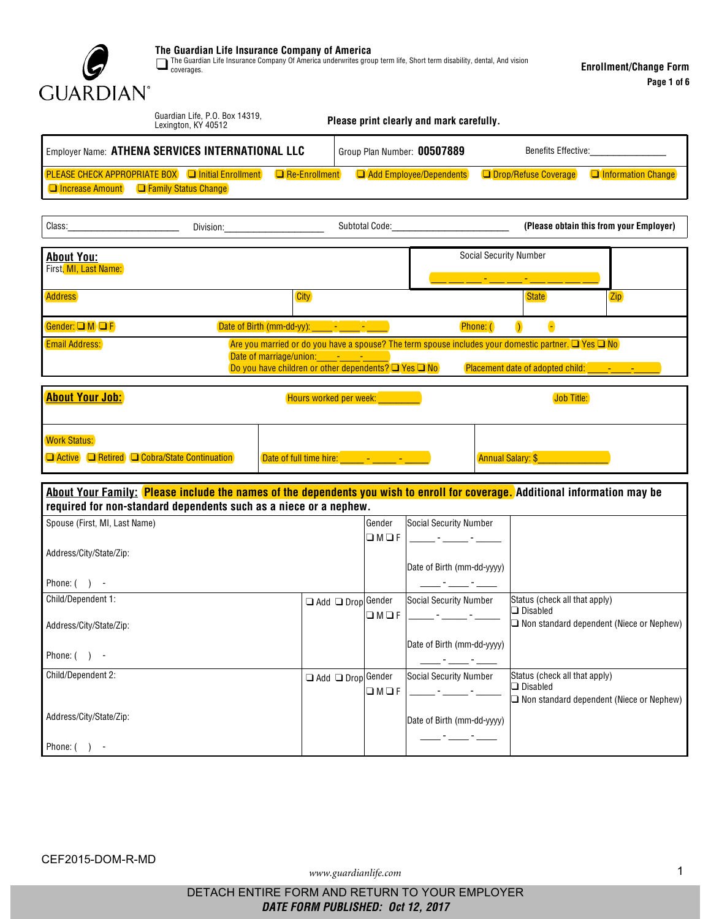

The Guardian Life Insurance Company of America<br>The Guardian Life Insurance Company Of America underwrites group term life, Short term disability, dental, And vision<br>coverages.

| Guardian Life, P.O. Box 14319,<br>Lexington, KY 40512                                                                                                                                                                                                                                                                                     |                                                   | Please print clearly and mark carefully.            |                                                                                                                                                                                                                                                                                                                                                                 |  |  |  |
|-------------------------------------------------------------------------------------------------------------------------------------------------------------------------------------------------------------------------------------------------------------------------------------------------------------------------------------------|---------------------------------------------------|-----------------------------------------------------|-----------------------------------------------------------------------------------------------------------------------------------------------------------------------------------------------------------------------------------------------------------------------------------------------------------------------------------------------------------------|--|--|--|
| Employer Name: ATHENA SERVICES INTERNATIONAL LLC                                                                                                                                                                                                                                                                                          |                                                   | Group Plan Number: 00507889                         | <b>Benefits Effective:</b>                                                                                                                                                                                                                                                                                                                                      |  |  |  |
| <b>PLEASE CHECK APPROPRIATE BOX Contains a Contract</b><br><b>Increase Amount Containst Contains Change</b>                                                                                                                                                                                                                               | Re-Enrollment                                     | Add Employee/Dependents                             | <b>Drop/Refuse Coverage</b><br><b>Information Change</b>                                                                                                                                                                                                                                                                                                        |  |  |  |
| Class:<br>Division:<br><u> 1989 - Johann Barbara, martin a</u>                                                                                                                                                                                                                                                                            |                                                   | Subtotal Code: The Contract of the Code:            | (Please obtain this from your Employer)                                                                                                                                                                                                                                                                                                                         |  |  |  |
| <b>About You:</b><br>First, MI, Last Name:                                                                                                                                                                                                                                                                                                |                                                   |                                                     | <b>Social Security Number</b>                                                                                                                                                                                                                                                                                                                                   |  |  |  |
| <b>Address</b>                                                                                                                                                                                                                                                                                                                            | <b>City</b>                                       |                                                     | <b>Zip</b><br><b>State</b>                                                                                                                                                                                                                                                                                                                                      |  |  |  |
| MCF<br>$\bullet$<br>Phone: (<br>Gender:<br>$\mathcal{L}$<br><b>Email Address:</b><br>Are you married or do you have a spouse? The term spouse includes your domestic partner. Yes No<br>Date of marriage/union: - - -<br>Do you have children or other dependents? Yes No<br>Placement date of adopted child:<br><b>Contract Contract</b> |                                                   |                                                     |                                                                                                                                                                                                                                                                                                                                                                 |  |  |  |
| <b>About Your Job:</b>                                                                                                                                                                                                                                                                                                                    |                                                   | Hours worked per week: New York                     | Job Title:                                                                                                                                                                                                                                                                                                                                                      |  |  |  |
| <b>Work Status:</b><br>Active Retired Cobra/State Continuation                                                                                                                                                                                                                                                                            | Date of full time hire: The Contract of the Lines |                                                     | <b>Annual Salary: \$</b><br><b>Contract Contract Contract Contract Contract Contract Contract Contract Contract Contract Contract Contract C</b>                                                                                                                                                                                                                |  |  |  |
| About Your Family: Please include the names of the dependents you wish to enroll for coverage. Additional information may be<br>required for non-standard dependents such as a niece or a nephew.                                                                                                                                         |                                                   |                                                     |                                                                                                                                                                                                                                                                                                                                                                 |  |  |  |
| Spouse (First, MI, Last Name)                                                                                                                                                                                                                                                                                                             |                                                   | Gender<br><b>Social Security Number</b><br>$M$ F    | $\label{eq:2} \mathcal{L} = \frac{1}{2} \sum_{i=1}^n \frac{1}{2} \sum_{i=1}^n \frac{1}{2} \sum_{i=1}^n \frac{1}{2} \sum_{i=1}^n \frac{1}{2} \sum_{i=1}^n \frac{1}{2} \sum_{i=1}^n \frac{1}{2} \sum_{i=1}^n \frac{1}{2} \sum_{i=1}^n \frac{1}{2} \sum_{i=1}^n \frac{1}{2} \sum_{i=1}^n \frac{1}{2} \sum_{i=1}^n \frac{1}{2} \sum_{i=1}^n \frac{1}{2} \sum_{i=1}$ |  |  |  |
| Address/City/State/Zip:                                                                                                                                                                                                                                                                                                                   |                                                   |                                                     | Date of Birth (mm-dd-yyyy)                                                                                                                                                                                                                                                                                                                                      |  |  |  |
| Phone: $( )$ -<br>Child/Dependent 1:                                                                                                                                                                                                                                                                                                      | Add                                               | Social Security Number<br>Drop Gender               | Status (check all that apply)                                                                                                                                                                                                                                                                                                                                   |  |  |  |
| Address/City/State/Zip:                                                                                                                                                                                                                                                                                                                   |                                                   | $M$ F                                               | <b>Disabled</b><br>Non standard dependent (Niece or Nephew)                                                                                                                                                                                                                                                                                                     |  |  |  |
| Phone: $( )$ -                                                                                                                                                                                                                                                                                                                            |                                                   |                                                     | Date of Birth (mm-dd-yyyy)                                                                                                                                                                                                                                                                                                                                      |  |  |  |
| Child/Dependent 2:                                                                                                                                                                                                                                                                                                                        | Add                                               | Drop Gender<br><b>Social Security Number</b><br>M F | Status (check all that apply)<br>Disabled<br>Non standard dependent (Niece or Nephew)                                                                                                                                                                                                                                                                           |  |  |  |
| Address/City/State/Zip:<br>Phone: $( )$ -                                                                                                                                                                                                                                                                                                 |                                                   |                                                     | Date of Birth (mm-dd-yyyy)                                                                                                                                                                                                                                                                                                                                      |  |  |  |

www.guardianlife.com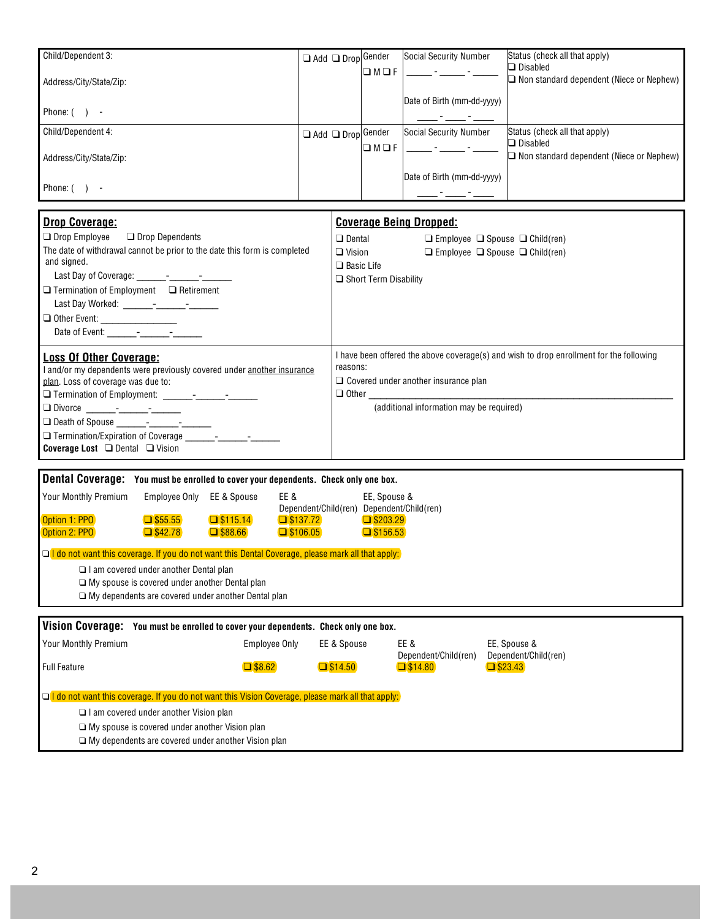| Child/Dependent 3:      | Add | Drop Gender | Social Security Number     | Status (check all that apply)                        |
|-------------------------|-----|-------------|----------------------------|------------------------------------------------------|
| Address/City/State/Zip: |     | M           |                            | Disabled<br>Non standard dependent (Niece or Nephew) |
|                         |     |             | Date of Birth (mm-dd-yyyy) |                                                      |
| Phone: (                |     |             |                            |                                                      |
| Child/Dependent 4:      | Add | Drop Gender | Social Security Number     | Status (check all that apply)                        |
| Address/City/State/Zip: |     | M           |                            | Disabled<br>Non standard dependent (Niece or Nephew) |
|                         |     |             | Date of Birth (mm-dd-yyyy) |                                                      |
| Phone:                  |     |             |                            |                                                      |

| <b>Drop Coverage:</b>                                                                                                                                                                                                                | <b>Coverage Being Dropped:</b>                                                                                                                                                                                                                                                                                                |                      |                  |                                                                                         |
|--------------------------------------------------------------------------------------------------------------------------------------------------------------------------------------------------------------------------------------|-------------------------------------------------------------------------------------------------------------------------------------------------------------------------------------------------------------------------------------------------------------------------------------------------------------------------------|----------------------|------------------|-----------------------------------------------------------------------------------------|
| Drop Employee Drop Dependents<br>The date of withdrawal cannot be prior to the date this form is completed<br>and signed.<br>Termination of Employment Retirement<br>Date of Event: -                                                | Dental<br>Vision<br><b>Basic Life</b><br><b>Short Term Disability</b>                                                                                                                                                                                                                                                         | Employee<br>Employee | Spouse<br>Spouse | Child(ren)<br>Child(ren)                                                                |
| <b>Loss Of Other Coverage:</b><br>and/or my dependents were previously covered under another insurance<br>plan. Loss of coverage was due to:<br>Divorce - -<br>Death of Spouse - - - - -<br><b>Coverage Lost</b><br>Dental<br>Vision | reasons:<br>Covered under another insurance plan<br>Other contracts and contracts are all the contracts of the contracts of the contracts of the contracts of the contracts of the contracts of the contracts of the contracts of the contracts of the contracts of the contracts<br>(additional information may be required) |                      |                  | I have been offered the above coverage(s) and wish to drop enrollment for the following |

| Dental Coverage:<br>You must be enrolled to cover your dependents. Check only one box.                                                    |               |             |                              |                                      |  |  |
|-------------------------------------------------------------------------------------------------------------------------------------------|---------------|-------------|------------------------------|--------------------------------------|--|--|
| Your Monthly Premium                                                                                                                      | Employee Only | EE & Spouse | EE &<br>Dependent/Child(ren) | EE, Spouse &<br>Dependent/Child(ren) |  |  |
| <b>Option 1: PPO</b>                                                                                                                      | \$55.55       | \$115.14    | \$137.72                     | \$203.29                             |  |  |
| <b>Option 2: PPO</b>                                                                                                                      | \$42.78       | \$88.66     | \$106.05                     | \$156.53                             |  |  |
| I do not want this coverage. If you do not want this Dental Coverage, please mark all that apply:<br>am covered under another Dental plan |               |             |                              |                                      |  |  |
| My spouse is covered under another Dental plan<br>My dependents are covered under another Dental plan                                     |               |             |                              |                                      |  |  |
|                                                                                                                                           |               |             |                              |                                      |  |  |
| Vision Coverage:<br>You must be enrolled to cover your dependents. Check only one box.                                                    |               |             |                              |                                      |  |  |
| Vour Monthly Dramium                                                                                                                      |               |             | EE 9 Chause<br>Employee Only | EE 0<br>EE Chouse 0                  |  |  |

| YOUr MONthly Premium_                                                                             | Employee Only | <b>LL &amp; SDOUSE</b> | EE &<br>Dependent/Child(ren) | EE, Spouse &<br>Dependent/Child(ren) |  |
|---------------------------------------------------------------------------------------------------|---------------|------------------------|------------------------------|--------------------------------------|--|
| Full Feature                                                                                      | \$8.62        | \$14.50                | \$14.80                      | \$23.43                              |  |
|                                                                                                   |               |                        |                              |                                      |  |
| I do not want this coverage. If you do not want this Vision Coverage, please mark all that apply: |               |                        |                              |                                      |  |
| I am covered under another Vision plan                                                            |               |                        |                              |                                      |  |
| My spouse is covered under another Vision plan                                                    |               |                        |                              |                                      |  |
| My dependents are covered under another Vision plan                                               |               |                        |                              |                                      |  |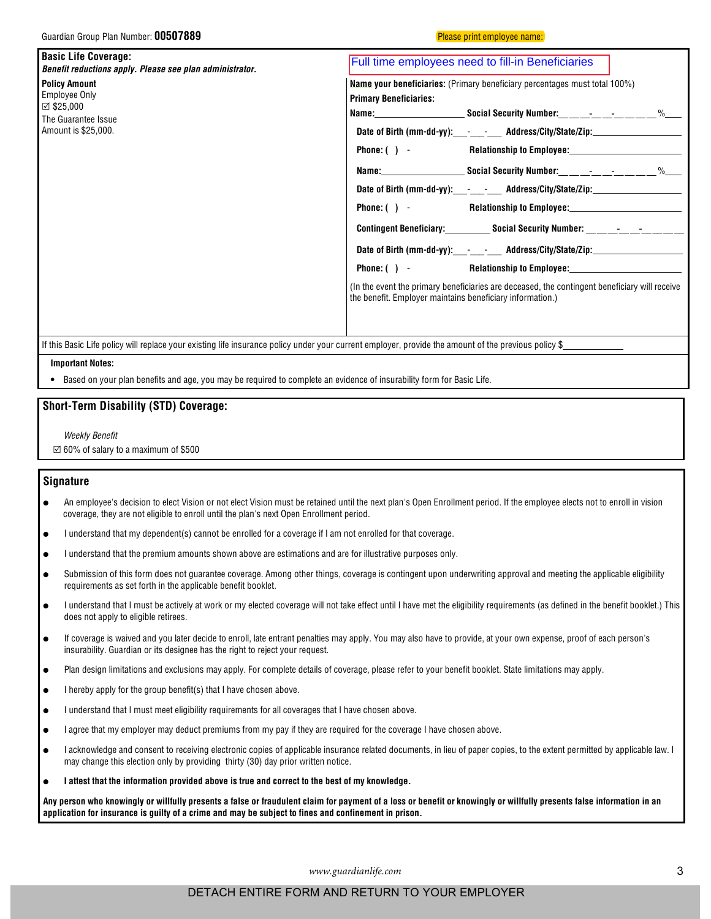Please print employee name:

| <b>Basic Life Coverage:</b><br>Benefit reductions apply. Please see plan administrator. | Full time employees need to fill-in Beneficiaries                                                                                                          |  |  |  |  |  |  |
|-----------------------------------------------------------------------------------------|------------------------------------------------------------------------------------------------------------------------------------------------------------|--|--|--|--|--|--|
| <b>Policy Amount</b>                                                                    | <b>Name your beneficiaries:</b> (Primary beneficiary percentages must total 100%)<br><b>Primary Beneficiaries:</b>                                         |  |  |  |  |  |  |
| <b>Employee Only</b>                                                                    |                                                                                                                                                            |  |  |  |  |  |  |
| $\boxtimes$ \$25,000<br>The Guarantee Issue                                             |                                                                                                                                                            |  |  |  |  |  |  |
| Amount is \$25,000.                                                                     | Date of Birth (mm-dd-yy): - - - Address/City/State/Zip: ________________________                                                                           |  |  |  |  |  |  |
|                                                                                         | Phone: () - Relationship to Employee: Relationship to Employee:                                                                                            |  |  |  |  |  |  |
|                                                                                         |                                                                                                                                                            |  |  |  |  |  |  |
|                                                                                         | Date of Birth (mm-dd-yy):_____________ Address/City/State/Zip:__________________                                                                           |  |  |  |  |  |  |
|                                                                                         | Phone: ( ) - Relationship to Employee: Relationship to Employee:                                                                                           |  |  |  |  |  |  |
|                                                                                         | <b>Contingent Beneficiary: Social Security Number:</b> The Contingent Beneficiary:                                                                         |  |  |  |  |  |  |
|                                                                                         | Date of Birth (mm-dd-yy): - - - Address/City/State/Zip: ________________________                                                                           |  |  |  |  |  |  |
|                                                                                         | Phone: ( ) - Relationship to Employee:<br>Relationship to Employee:                                                                                        |  |  |  |  |  |  |
|                                                                                         | (In the event the primary beneficiaries are deceased, the contingent beneficiary will receive<br>the benefit. Employer maintains beneficiary information.) |  |  |  |  |  |  |
|                                                                                         |                                                                                                                                                            |  |  |  |  |  |  |

If this Basic Life policy will replace your existing life insurance policy under your current employer, provide the amount of the previous policy \$

## **Important Notes:**

Based on your plan benefits and age, you may be required to complete an evidence of insurability form for Basic Life.

# **Short-Term Disability (STD) Coverage:**

**Weekly Benefit** 

 $\boxtimes$  60% of salary to a maximum of \$500

# **Signature**

An employee's decision to elect Vision or not elect Vision must be retained until the next plan's Open Enrollment period. If the employee elects not to enroll in vision coverage, they are not eligible to enroll until the plan's next Open Enrollment period.

I understand that my dependent(s) cannot be enrolled for a coverage if I am not enrolled for that coverage.

I understand that the premium amounts shown above are estimations and are for illustrative purposes only.

Submission of this form does not guarantee coverage. Among other things, coverage is contingent upon underwriting approval and meeting the applicable eligibility requirements as set forth in the applicable benefit booklet.

I understand that I must be actively at work or my elected coverage will not take effect until I have met the eligibility requirements (as defined in the benefit booklet.) This does not apply to eligible retirees.

If coverage is waived and you later decide to enroll, late entrant penalties may apply. You may also have to provide, at your own expense, proof of each person's insurability. Guardian or its designee has the right to reject your request.

Plan design limitations and exclusions may apply. For complete details of coverage, please refer to your benefit booklet. State limitations may apply.

I hereby apply for the group benefit(s) that I have chosen above.

I understand that I must meet eligibility requirements for all coverages that I have chosen above.

I agree that my employer may deduct premiums from my pay if they are required for the coverage I have chosen above.

I acknowledge and consent to receiving electronic copies of applicable insurance related documents, in lieu of paper copies, to the extent permitted by applicable law. I may change this election only by providing thirty (30) day prior written notice.

#### I attest that the information provided above is true and correct to the best of my knowledge.

Any person who knowingly or willfully presents a false or fraudulent claim for payment of a loss or benefit or knowingly or willfully presents false information in an application for insurance is guilty of a crime and may be subject to fines and confinement in prison.

www.guardianlife.com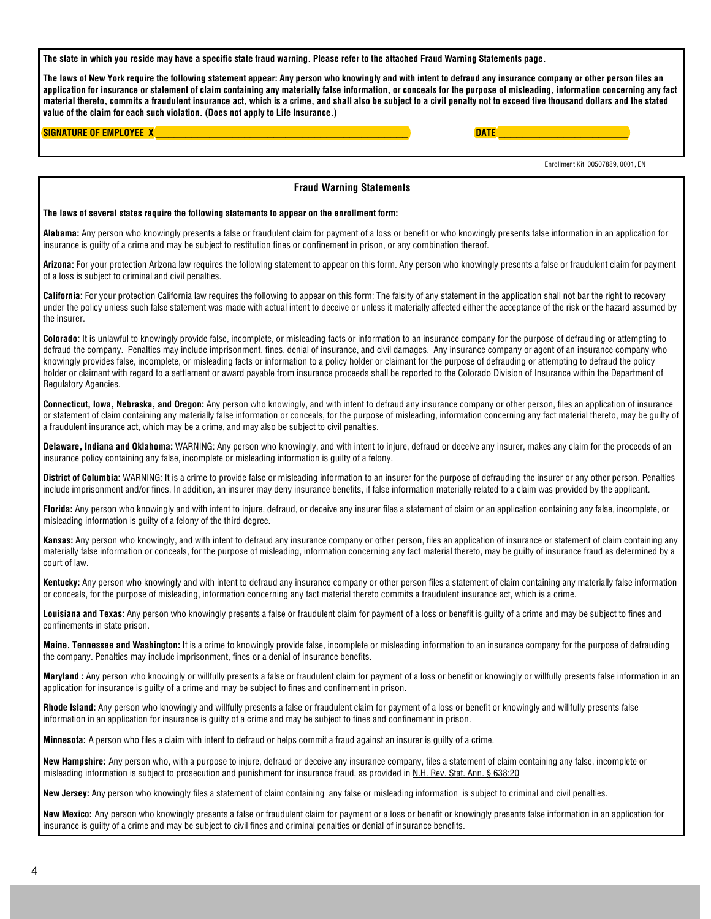The state in which you reside may have a specific state fraud warning. Please refer to the attached Fraud Warning Statements page.

The laws of New York require the following statement appear: Any person who knowingly and with intent to defraud any insurance company or other person files an application for insurance or statement of claim containing any materially false information, or conceals for the purpose of misleading, information concerning any fact material thereto, commits a fraudulent insurance act, which is a crime, and shall also be subject to a civil penalty not to exceed five thousand dollars and the stated value of the claim for each such violation. (Does not apply to Life Insurance.)

**DATE** 

## **SIGNATURE OF EMPLOYEE X**

Enrollment Kit 00507889, 0001, EN **Fraud Warning Statements** The laws of several states require the following statements to appear on the enrollment form: Alabama: Any person who knowingly presents a false or fraudulent claim for payment of a loss or benefit or who knowingly presents false information in an application for insurance is quilty of a crime and may be subject to restitution fines or confinement in prison, or any combination thereof. Arizona: For your protection Arizona law requires the following statement to appear on this form. Any person who knowingly presents a false or fraudulent claim for payment of a loss is subject to criminal and civil penalties. California: For your protection California law requires the following to appear on this form: The falsity of any statement in the application shall not bar the right to recovery under the policy unless such false statement was made with actual intent to deceive or unless it materially affected either the acceptance of the risk or the hazard assumed by the insurer. Colorado: It is unlawful to knowingly provide false, incomplete, or misleading facts or information to an insurance company for the purpose of defrauding or attempting to defraud the company. Penalties may include imprisonment, fines, denial of insurance, and civil damages. Any insurance company or agent of an insurance company who knowingly provides false, incomplete, or misleading facts or information to a policy holder or claimant for the purpose of defrauding or attempting to defraud the policy holder or claimant with regard to a settlement or award payable from insurance proceeds shall be reported to the Colorado Division of Insurance within the Department of Regulatory Agencies. Connecticut, lowa, Nebraska, and Oregon: Any person who knowingly, and with intent to defraud any insurance company or other person, files an application of insurance or statement of claim containing any materially false information or conceals, for the purpose of misleading, information concerning any fact material thereto, may be guilty of a fraudulent insurance act, which may be a crime, and may also be subject to civil penalties. Delaware, Indiana and Oklahoma: WARNING: Any person who knowingly, and with intent to injure, defraud or deceive any insurer, makes any claim for the proceeds of an insurance policy containing any false, incomplete or misleading information is guilty of a felony. District of Columbia: WARNING: It is a crime to provide false or misleading information to an insurer for the purpose of defrauding the insurer or any other person. Penalties include imprisonment and/or fines. In addition, an insurer may deny insurance benefits, if false information materially related to a claim was provided by the applicant. Florida: Any person who knowingly and with intent to injure, defraud, or deceive any insurer files a statement of claim or an application containing any false, incomplete, or misleading information is guilty of a felony of the third degree. Kansas: Any person who knowingly, and with intent to defraud any insurance company or other person, files an application of insurance or statement of claim containing any materially false information or conceals, for the purpose of misleading, information concerning any fact material thereto, may be quilty of insurance fraud as determined by a court of law. Kentucky: Any person who knowingly and with intent to defraud any insurance company or other person files a statement of claim containing any materially false information or conceals, for the purpose of misleading, information concerning any fact material thereto commits a fraudulent insurance act, which is a crime. Louisiana and Texas: Any person who knowingly presents a false or fraudulent claim for payment of a loss or benefit is quilty of a crime and may be subject to fines and confinements in state prison. Maine, Tennessee and Washington: It is a crime to knowingly provide false, incomplete or misleading information to an insurance company for the purpose of defrauding the company. Penalties may include imprisonment, fines or a denial of insurance benefits. Maryland: Any person who knowingly or willfully presents a false or fraudulent claim for payment of a loss or benefit or knowingly or willfully presents false information in an application for insurance is guilty of a crime and may be subject to fines and confinement in prison. Rhode Island: Any person who knowingly and willfully presents a false or fraudulent claim for payment of a loss or benefit or knowingly and willfully presents false information in an application for insurance is guilty of a crime and may be subject to fines and confinement in prison. Minnesota: A person who files a claim with intent to defraud or helps commit a fraud against an insurer is quilty of a crime. New Hampshire: Any person who, with a purpose to injure, defraud or deceive any insurance company, files a statement of claim containing any false, incomplete or misleading information is subject to prosecution and punishment for insurance fraud, as provided in N.H. Rev. Stat. Ann. § 638:20 New Jersey: Any person who knowingly files a statement of claim containing any false or misleading information is subject to criminal and civil penalties. New Mexico: Any person who knowingly presents a false or fraudulent claim for payment or a loss or benefit or knowingly presents false information in an application for insurance is guilty of a crime and may be subject to civil fines and criminal penalties or denial of insurance benefits.